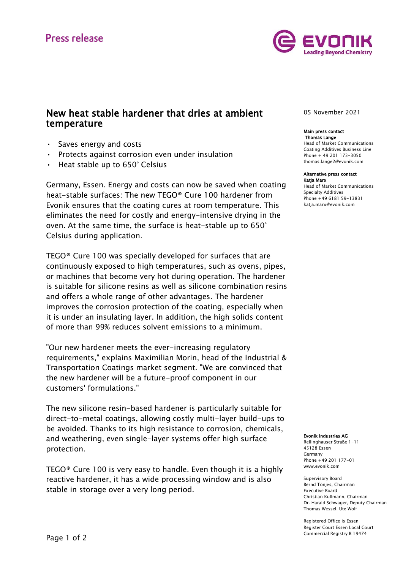

## New heat stable hardener that dries at ambient temperature

- Saves energy and costs
- Protects against corrosion even under insulation
- Heat stable up to 650° Celsius

Germany, Essen. Energy and costs can now be saved when coating heat-stable surfaces: The new TEGO® Cure 100 hardener from Evonik ensures that the coating cures at room temperature. This eliminates the need for costly and energy-intensive drying in the oven. At the same time, the surface is heat-stable up to 650° Celsius during application.

TEGO® Cure 100 was specially developed for surfaces that are continuously exposed to high temperatures, such as ovens, pipes, or machines that become very hot during operation. The hardener is suitable for silicone resins as well as silicone combination resins and offers a whole range of other advantages. The hardener improves the corrosion protection of the coating, especially when it is under an insulating layer. In addition, the high solids content of more than 99% reduces solvent emissions to a minimum.

"Our new hardener meets the ever-increasing regulatory requirements," explains Maximilian Morin, head of the Industrial & Transportation Coatings market segment. "We are convinced that the new hardener will be a future-proof component in our customers' formulations."

The new silicone resin-based hardener is particularly suitable for direct-to-metal coatings, allowing costly multi-layer build-ups to be avoided. Thanks to its high resistance to corrosion, chemicals, and weathering, even single-layer systems offer high surface protection.

TEGO® Cure 100 is very easy to handle. Even though it is a highly reactive hardener, it has a wide processing window and is also stable in storage over a very long period.

05 November 2021

### Main press contact Thomas Lange

Head of Market Communications Coating Additives Business Line Phone + 49 201 173-3050 thomas.lange2@evonik.com

### Alternative press contact Katja Marx

Head of Market Communications Specialty Additives Phone +49 6181 59-13831 katja.marx@evonik.com

### Evonik Industries AG

Rellinghauser Straße 1-11 45128 Essen Germany Phone +49 201 177-01 www.evonik.com

Supervisory Board Bernd Tönjes, Chairman Executive Board Christian Kullmann, Chairman Dr. Harald Schwager, Deputy Chairman Thomas Wessel, Ute Wolf

Registered Office is Essen Register Court Essen Local Court Commercial Registry B 19474